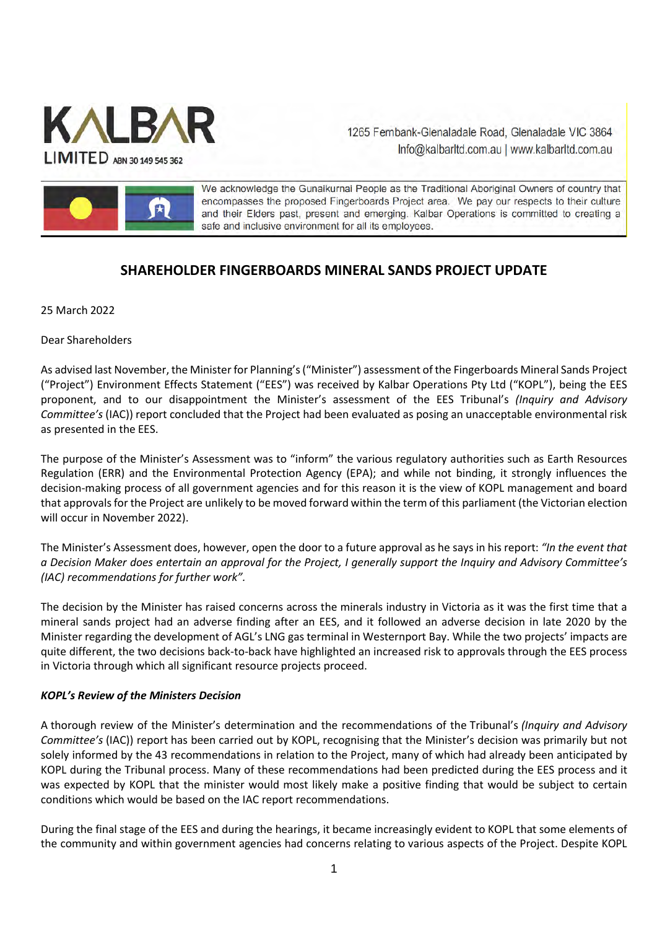

1265 Fernbank-Glenaladale Road, Glenaladale VIC 3864 Info@kalbarItd.com.au | www.kalbarItd.com.au



We acknowledge the Gunaikurnai People as the Traditional Aboriginal Owners of country that encompasses the proposed Fingerboards Project area. We pay our respects to their culture and their Elders past, present and emerging. Kalbar Operations is committed to creating a safe and inclusive environment for all its employees.

# **SHAREHOLDER FINGERBOARDS MINERAL SANDS PROJECT UPDATE**

25 March 2022

Dear Shareholders

As advised last November, the Minister for Planning's ("Minister") assessment of the Fingerboards Mineral Sands Project ("Project") Environment Effects Statement ("EES") was received by Kalbar Operations Pty Ltd ("KOPL"), being the EES proponent, and to our disappointment the Minister's assessment of the EES Tribunal's *(Inquiry and Advisory Committee's* (IAC)) report concluded that the Project had been evaluated as posing an unacceptable environmental risk as presented in the EES.

The purpose of the Minister's Assessment was to "inform" the various regulatory authorities such as Earth Resources Regulation (ERR) and the Environmental Protection Agency (EPA); and while not binding, it strongly influences the decision-making process of all government agencies and for this reason it is the view of KOPL management and board that approvals for the Project are unlikely to be moved forward within the term of this parliament (the Victorian election will occur in November 2022).

The Minister's Assessment does, however, open the door to a future approval as he says in his report: *"In the event that a Decision Maker does entertain an approval for the Project, I generally support the Inquiry and Advisory Committee's (IAC) recommendations for further work".* 

The decision by the Minister has raised concerns across the minerals industry in Victoria as it was the first time that a mineral sands project had an adverse finding after an EES, and it followed an adverse decision in late 2020 by the Minister regarding the development of AGL's LNG gas terminal in Westernport Bay. While the two projects' impacts are quite different, the two decisions back-to-back have highlighted an increased risk to approvals through the EES process in Victoria through which all significant resource projects proceed.

# *KOPL's Review of the Ministers Decision*

A thorough review of the Minister's determination and the recommendations of the Tribunal's *(Inquiry and Advisory Committee's* (IAC)) report has been carried out by KOPL, recognising that the Minister's decision was primarily but not solely informed by the 43 recommendations in relation to the Project, many of which had already been anticipated by KOPL during the Tribunal process. Many of these recommendations had been predicted during the EES process and it was expected by KOPL that the minister would most likely make a positive finding that would be subject to certain conditions which would be based on the IAC report recommendations.

During the final stage of the EES and during the hearings, it became increasingly evident to KOPL that some elements of the community and within government agencies had concerns relating to various aspects of the Project. Despite KOPL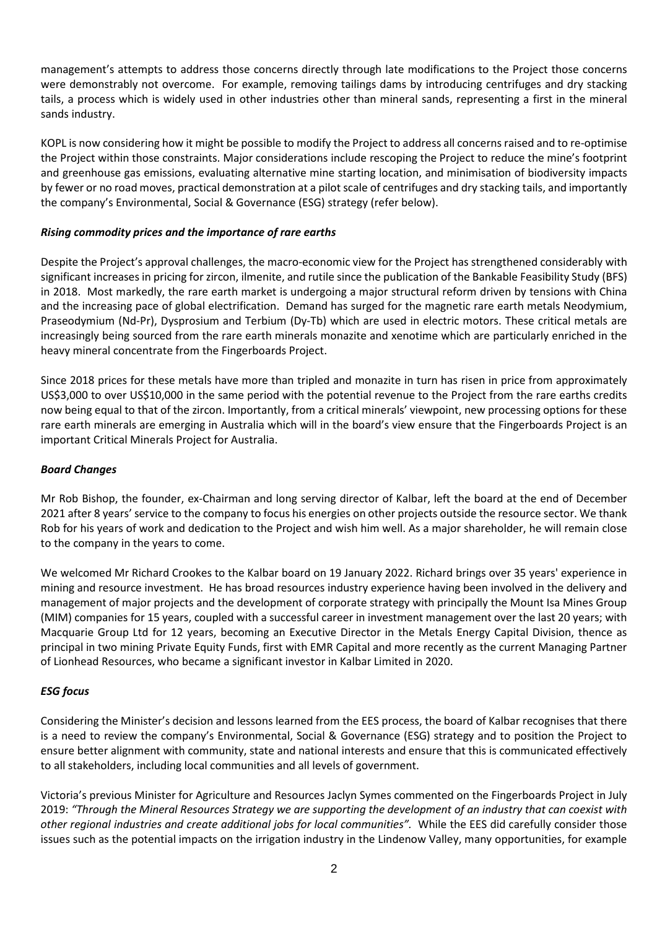management's attempts to address those concerns directly through late modifications to the Project those concerns were demonstrably not overcome. For example, removing tailings dams by introducing centrifuges and dry stacking tails, a process which is widely used in other industries other than mineral sands, representing a first in the mineral sands industry.

KOPL is now considering how it might be possible to modify the Project to address all concerns raised and to re-optimise the Project within those constraints. Major considerations include rescoping the Project to reduce the mine's footprint and greenhouse gas emissions, evaluating alternative mine starting location, and minimisation of biodiversity impacts by fewer or no road moves, practical demonstration at a pilot scale of centrifuges and dry stacking tails, and importantly the company's Environmental, Social & Governance (ESG) strategy (refer below).

## *Rising commodity prices and the importance of rare earths*

Despite the Project's approval challenges, the macro-economic view for the Project has strengthened considerably with significant increases in pricing for zircon, ilmenite, and rutile since the publication of the Bankable Feasibility Study (BFS) in 2018. Most markedly, the rare earth market is undergoing a major structural reform driven by tensions with China and the increasing pace of global electrification. Demand has surged for the magnetic rare earth metals Neodymium, Praseodymium (Nd-Pr), Dysprosium and Terbium (Dy-Tb) which are used in electric motors. These critical metals are increasingly being sourced from the rare earth minerals monazite and xenotime which are particularly enriched in the heavy mineral concentrate from the Fingerboards Project.

Since 2018 prices for these metals have more than tripled and monazite in turn has risen in price from approximately US\$3,000 to over US\$10,000 in the same period with the potential revenue to the Project from the rare earths credits now being equal to that of the zircon. Importantly, from a critical minerals' viewpoint, new processing options for these rare earth minerals are emerging in Australia which will in the board's view ensure that the Fingerboards Project is an important Critical Minerals Project for Australia.

#### *Board Changes*

Mr Rob Bishop, the founder, ex-Chairman and long serving director of Kalbar, left the board at the end of December 2021 after 8 years' service to the company to focus his energies on other projects outside the resource sector. We thank Rob for his years of work and dedication to the Project and wish him well. As a major shareholder, he will remain close to the company in the years to come.

We welcomed Mr Richard Crookes to the Kalbar board on 19 January 2022. Richard brings over 35 years' experience in mining and resource investment. He has broad resources industry experience having been involved in the delivery and management of major projects and the development of corporate strategy with principally the Mount Isa Mines Group (MIM) companies for 15 years, coupled with a successful career in investment management over the last 20 years; with Macquarie Group Ltd for 12 years, becoming an Executive Director in the Metals Energy Capital Division, thence as principal in two mining Private Equity Funds, first with EMR Capital and more recently as the current Managing Partner of Lionhead Resources, who became a significant investor in Kalbar Limited in 2020.

# *ESG focus*

Considering the Minister's decision and lessons learned from the EES process, the board of Kalbar recognises that there is a need to review the company's Environmental, Social & Governance (ESG) strategy and to position the Project to ensure better alignment with community, state and national interests and ensure that this is communicated effectively to all stakeholders, including local communities and all levels of government.

Victoria's previous Minister for Agriculture and Resources Jaclyn Symes commented on the Fingerboards Project in July 2019: *"Through the Mineral Resources Strategy we are supporting the development of an industry that can coexist with other regional industries and create additional jobs for local communities".* While the EES did carefully consider those issues such as the potential impacts on the irrigation industry in the Lindenow Valley, many opportunities, for example